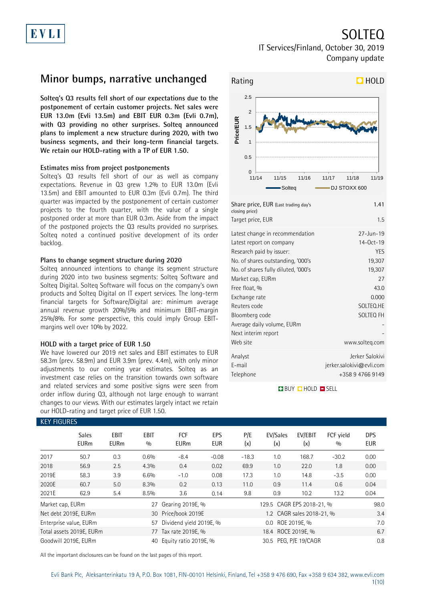## SOLTEQ

### IT Services/Finland, October 30, 2019 Company update

## **Minor bumps, narrative unchanged**

**Solteq's Q3 results fell short of our expectations due to the postponement of certain customer projects. Net sales were EUR 13.0m (Evli 13.5m) and EBIT EUR 0.3m (Evli 0.7m), with Q3 providing no other surprises. Solteq announced plans to implement a new structure during 2020, with two business segments, and their long-term financial targets. We retain our HOLD-rating with a TP of EUR 1.50.**

### **Estimates miss from project postponements**

Solteq's Q3 results fell short of our as well as company expectations. Revenue in Q3 grew 1.2% to EUR 13.0m (Evli 13.5m) and EBIT amounted to EUR 0.3m (Evli 0.7m). The third quarter was impacted by the postponement of certain customer projects to the fourth quarter, with the value of a single postponed order at more than EUR 0.3m. Aside from the impact of the postponed projects the Q3 results provided no surprises. Solteq noted a continued positive development of its order backlog.

### **Plans to change segment structure during 2020**

Solteq announced intentions to change its segment structure during 2020 into two business segments: Solteq Software and Solteq Digital. Solteq Software will focus on the company's own products and Solteq Digital on IT expert services. The long-term financial targets for Software/Digital are: minimum average annual revenue growth 20%/5% and minimum EBIT-margin 25%/8%. For some perspective, this could imply Group EBITmargins well over 10% by 2022.

### **HOLD with a target price of EUR 1.50**

We have lowered our 2019 net sales and EBIT estimates to EUR 58.3m (prev. 58.9m) and EUR 3.9m (prev. 4.4m), with only minor adjustments to our coming year estimates. Solteq as an investment case relies on the transition towards own software and related services and some positive signs were seen from order inflow during Q3, although not large enough to warrant changes to our views. With our estimates largely intact we retain our HOLD-rating and target price of EUR 1.50.



Web site www.solteq.com Analyst Jerker Salokivi E-mail jerker.salokivi@evli.com Telephone +358 9 4766 9149

**BUY QHOLD SELL** 

| <b>KEY FIGURES</b> |                             |                            |                    |                         |                          |            |                           |                           |                  |                   |
|--------------------|-----------------------------|----------------------------|--------------------|-------------------------|--------------------------|------------|---------------------------|---------------------------|------------------|-------------------|
|                    | <b>Sales</b><br><b>EURm</b> | <b>EBIT</b><br><b>EURm</b> | <b>EBIT</b><br>0/0 | FCF<br><b>EURm</b>      | <b>EPS</b><br><b>EUR</b> | P/E<br>(x) | EV/Sales<br>(x)           | EV/EBIT<br>(x)            | FCF yield<br>0/0 | DPS<br><b>EUR</b> |
| 2017               | 50.7                        | 0.3                        | 0.6%               | $-8.4$                  | $-0.08$                  | $-18.3$    | 1.0                       | 168.7                     | $-30.2$          | 0.00              |
| 2018               | 56.9                        | 2.5                        | 4.3%               | 0.4                     | 0.02                     | 69.9       | 1.0                       | 22.0                      | 1.8              | 0.00              |
| 2019E              | 58.3                        | 3.9                        | 6.6%               | $-1.0$                  | 0.08                     | 17.3       | 1.0                       | 14.8                      | $-3.5$           | 0.00              |
| 2020E              | 60.7                        | 5.0                        | 8.3%               | 0.2                     | 0.13                     | 11.0       | 0.9                       | 11.4                      | 0.6              | 0.04              |
| 2021E              | 62.9                        | 5.4                        | 8.5%               | 3.6                     | 0.14                     | 9.8        | 0.9                       | 10.2                      | 13.2             | 0.04              |
| Market cap, EURm   |                             |                            | 27                 | Gearing 2019E, %        |                          |            | 129.5 CAGR EPS 2018-21, % |                           |                  | 98.0              |
|                    | Net debt 2019E, EURm        |                            |                    | 30 Price/book 2019E     |                          |            |                           | 1.2 CAGR sales 2018-21, % |                  | 3.4               |
|                    | Enterprise value, EURm      |                            | 57                 | Dividend yield 2019E, % |                          |            | 0.0                       | ROE 2019E, %              |                  | 7.0               |
|                    | Total assets 2019E, EURm    |                            |                    | 77 Tax rate 2019E, %    |                          |            | 18.4 ROCE 2019E, %        |                           |                  | 6.7               |
|                    | Goodwill 2019E, EURm        |                            | 40                 | Equity ratio 2019E, %   |                          |            | 30.5 PEG, P/E 19/CAGR     |                           |                  | 0.8               |

All the important disclosures can be found on the last pages of this report.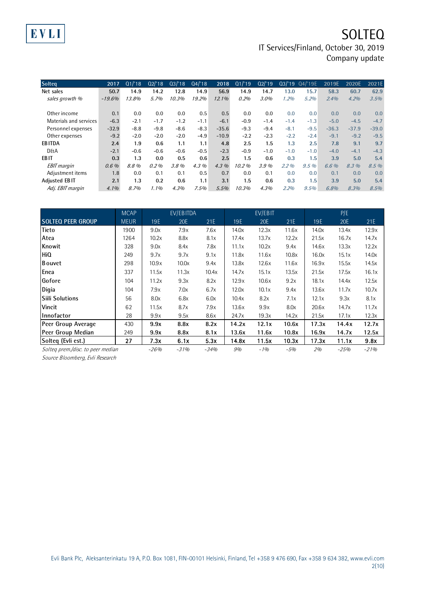| <b>Solteq</b>          | 2017     | Q1/18  | Q2'18   | Q3/18  | Q4/18  | 2018     | Q1/19  | Q2'19  | Q3/19   | Q4/'19E | 2019E   | 2020E   | 2021E   |
|------------------------|----------|--------|---------|--------|--------|----------|--------|--------|---------|---------|---------|---------|---------|
| Net sales              | 50.7     | 14.9   | 14.2    | 12.8   | 14.9   | 56.9     | 14.9   | 14.7   | 13.0    | 15.7    | 58.3    | 60.7    | 62.9    |
| sales growth %         | $-19.6%$ | 13.8%  | 5.7%    | 10.3%  | 19.2%  | $12.1\%$ | 0.2%   | 3.0%   | 1.2%    | 5.2%    | 2.4%    | 4.2%    | 3.5%    |
|                        |          |        |         |        |        |          |        |        |         |         |         |         |         |
| Other income           | 0.1      | 0.0    | 0.0     | 0.0    | 0.5    | 0.5      | 0.0    | 0.0    | 0.0     | 0.0     | 0.0     | 0.0     | 0.0     |
| Materials and services | $-6.3$   | $-2.1$ | $-1.7$  | $-1.2$ | $-1.1$ | $-6.1$   | $-0.9$ | $-1.4$ | $-1.4$  | $-1.3$  | $-5.0$  | $-4.5$  | $-4.7$  |
| Personnel expenses     | $-32.9$  | $-8.8$ | $-9.8$  | $-8.6$ | $-8.3$ | $-35.6$  | $-9.3$ | $-9.4$ | $-8.1$  | $-9.5$  | $-36.3$ | $-37.9$ | $-39.0$ |
| Other expenses         | $-9.2$   | $-2.0$ | $-2.0$  | $-2.0$ | $-4.9$ | $-10.9$  | $-2.2$ | $-2.3$ | $-2.2$  | $-2.4$  | $-9.1$  | $-9.2$  | $-9.5$  |
| <b>EBITDA</b>          | 2.4      | 1.9    | 0.6     | 1.1    | 1.1    | 4.8      | 2.5    | 1.5    | 1.3     | 2.5     | 7.8     | 9.1     | 9.7     |
| <b>D&amp;A</b>         | $-2.1$   | $-0.6$ | $-0.6$  | $-0.6$ | $-0.5$ | $-2.3$   | $-0.9$ | $-1.0$ | $-1.0$  | $-1.0$  | $-4.0$  | $-4.1$  | $-4.3$  |
| <b>EBIT</b>            | 0.3      | 1.3    | 0.0     | 0.5    | 0.6    | 2.5      | 1.5    | 0.6    | 0.3     | 1.5     | 3.9     | 5.0     | 5.4     |
| <b>EBIT</b> margin     | 0.6%     | 8.8%   | 0.2%    | 3.8%   | 4.3%   | $4.3\%$  | 10.2%  | 3.9%   | $2.2\%$ | 9.5%    | 6.6 %   | 8.3%    | 8.5%    |
| Adjustment items       | 1.8      | 0.0    | 0.1     | 0.1    | 0.5    | 0.7      | 0.0    | 0.1    | 0.0     | 0.0     | 0.1     | 0.0     | 0.0     |
| Adjusted EBIT          | 2.1      | 1.3    | 0.2     | 0.6    | 1.1    | 3.1      | 1.5    | 0.6    | 0.3     | 1.5     | 3.9     | 5.0     | 5.4     |
| Adj. EBIT margin       | $4.1\%$  | 8.7%   | $1.1\%$ | 4.3%   | 7.5%   | 5.5%     | 10.3%  | 4.3%   | 2.2%    | 9.5%    | 6.8%    | 8.3%    | 8.5%    |

|                                   | <b>MCAP</b> |        | EV/EBITDA |        |       | EV/EBIT |       |       | P/E        |        |
|-----------------------------------|-------------|--------|-----------|--------|-------|---------|-------|-------|------------|--------|
| <b>SOLTEQ PEER GROUP</b>          | <b>MEUR</b> | 19E    | 20E       | 21E    | 19E   | 20E     | 21E   | 19E   | <b>20E</b> | 21E    |
| <b>Tieto</b>                      | 1900        | 9.0x   | 7.9x      | 7.6x   | 14.0x | 12.3x   | 11.6x | 14.0x | 13.4x      | 12.9x  |
| Atea                              | 1264        | 10.2x  | 8.8x      | 8.1x   | 17.4x | 13.7x   | 12.2x | 21.5x | 16.7x      | 14.7x  |
| Knowit                            | 328         | 9.0x   | 8.4x      | 7.8x   | 11.1x | 10.2x   | 9.4x  | 14.6x | 13.3x      | 12.2x  |
| HiQ                               | 249         | 9.7x   | 9.7x      | 9.1x   | 11.8x | 11.6x   | 10.8x | 16.0x | 15.1x      | 14.0x  |
| <b>B</b> ouvet                    | 298         | 10.9x  | 10.0x     | 9.4x   | 13.8x | 12.6x   | 11.6x | 16.9x | 15.5x      | 14.5x  |
| Enea                              | 337         | 11.5x  | 11.3x     | 10.4x  | 14.7x | 15.1x   | 13.5x | 21.5x | 17.5x      | 16.1x  |
| Gofore                            | 104         | 11.2x  | 9.3x      | 8.2x   | 12.9x | 10.6x   | 9.2x  | 18.1x | 14.4x      | 12.5x  |
| Digia                             | 104         | 7.9x   | 7.0x      | 6.7x   | 12.0x | 10.1x   | 9.4x  | 13.6x | 11.7x      | 10.7x  |
| <b>Siili Solutions</b>            | 56          | 8.0x   | 6.8x      | 6.0x   | 10.4x | 8.2x    | 7.1x  | 12.1x | 9.3x       | 8.1x   |
| Vincit                            | 62          | 11.5x  | 8.7x      | 7.9x   | 13.6x | 9.9x    | 8.0x  | 20.6x | 14.7x      | 11.7x  |
| Innofactor                        | 28          | 9.9x   | 9.5x      | 8.6x   | 24.7x | 19.3x   | 14.2x | 21.5x | 17.1x      | 12.3x  |
| Peer Group Average                | 430         | 9.9x   | 8.8x      | 8.2x   | 14.2x | 12.1x   | 10.6x | 17.3x | 14.4x      | 12.7x  |
| Peer Group Median                 | 249         | 9.9x   | 8.8x      | 8.1x   | 13.6x | 11.6x   | 10.8x | 16.9x | 14.7x      | 12.5x  |
| Solteq (Evli est.)                | 27          | 7.3x   | 6.1x      | 5.3x   | 14.8x | 11.5x   | 10.3x | 17.3x | 11.1x      | 9.8x   |
| Solteg prem./disc. to peer median |             | $-26%$ | $-31%$    | $-34%$ | 9%    | $-1%$   | $-5%$ | 2%    | $-25%$     | $-21%$ |

Source Bloomberg, Evli Research

EVLI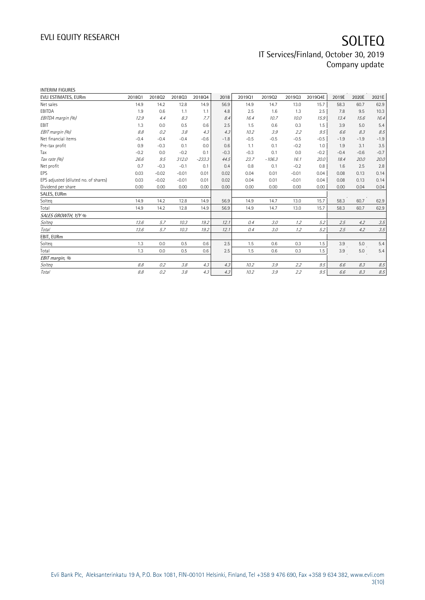| <b>INTERIM FIGURES</b>               |        |         |         |          |        |        |          |         |         |        |        |        |
|--------------------------------------|--------|---------|---------|----------|--------|--------|----------|---------|---------|--------|--------|--------|
| EVLI ESTIMATES, EURm                 | 201801 | 201802  | 201803  | 201804   | 2018   | 201901 | 201902   | 201903  | 2019Q4E | 2019E  | 2020E  | 2021E  |
| Net sales                            | 14.9   | 14.2    | 12.8    | 14.9     | 56.9   | 14.9   | 14.7     | 13.0    | 15.7    | 58.3   | 60.7   | 62.9   |
| EBITDA                               | 1.9    | 0.6     | 1.1     | 1.1      | 4.8    | 2.5    | 1.6      | 1.3     | 2.5     | 7.8    | 9.5    | 10.3   |
| EBITDA margin (%)                    | 12.9   | 4.4     | 8.3     | 7.7      | 8.4    | 16.4   | 10.7     | 10.0    | 15.9    | 13.4   | 15.6   | 16.4   |
| EBIT                                 | 1.3    | 0.0     | 0.5     | 0.6      | 2.5    | 1.5    | 0.6      | 0.3     | 1.5     | 3.9    | 5.0    | 5.4    |
| EBIT margin (%)                      | 8.8    | 0.2     | 3.8     | 4.3      | 4.3    | 10.2   | 3.9      | 2.2     | 9.5     | 6.6    | 8.3    | 8.5    |
| Net financial items                  | $-0.4$ | $-0.4$  | $-0.4$  | $-0.6$   | $-1.8$ | $-0.5$ | $-0.5$   | $-0.5$  | $-0.5$  | $-1.9$ | $-1.9$ | $-1.9$ |
| Pre-tax profit                       | 0.9    | $-0.3$  | 0.1     | 0.0      | 0.6    | 1.1    | 0.1      | $-0.2$  | 1.0     | 1.9    | 3.1    | 3.5    |
| Tax                                  | $-0.2$ | 0.0     | $-0.2$  | 0.1      | $-0.3$ | $-0.3$ | 0.1      | 0.0     | $-0.2$  | $-0.4$ | $-0.6$ | $-0.7$ |
| Tax rate (%)                         | 26.6   | 9.5     | 312.0   | $-233.3$ | 44.5   | 23.7   | $-106.3$ | 16.1    | 20.0    | 18.4   | 20.0   | 20.0   |
| Net profit                           | 0.7    | $-0.3$  | $-0.1$  | 0.1      | 0.4    | 0.8    | 0.1      | $-0.2$  | 0.8     | 1.6    | 2.5    | 2.8    |
| EPS                                  | 0.03   | $-0.02$ | $-0.01$ | 0.01     | 0.02   | 0.04   | 0.01     | $-0.01$ | 0.04    | 0.08   | 0.13   | 0.14   |
| EPS adjusted (diluted no. of shares) | 0.03   | $-0.02$ | $-0.01$ | 0.01     | 0.02   | 0.04   | 0.01     | $-0.01$ | 0.04    | 0.08   | 0.13   | 0.14   |
| Dividend per share                   | 0.00   | 0.00    | 0.00    | 0.00     | 0.00   | 0.00   | 0.00     | 0.00    | 0.00    | 0.00   | 0.04   | 0.04   |
| SALES, EURm                          |        |         |         |          |        |        |          |         |         |        |        |        |
| Solteq                               | 14.9   | 14.2    | 12.8    | 14.9     | 56.9   | 14.9   | 14.7     | 13.0    | 15.7    | 58.3   | 60.7   | 62.9   |
| Total                                | 14.9   | 14.2    | 12.8    | 14.9     | 56.9   | 14.9   | 14.7     | 13.0    | 15.7    | 58.3   | 60.7   | 62.9   |
| SALES GROWTH, Y/Y %                  |        |         |         |          |        |        |          |         |         |        |        |        |
| Solteg                               | 13.6   | 5.7     | 10.3    | 19.2     | 12.1   | 0.4    | 3.0      | 1.2     | 5.2     | 2.5    | 4.2    | 3.5    |
| <b>Total</b>                         | 13.6   | 5.7     | 10.3    | 19.2     | 12.1   | 0.4    | 3.0      | 1.2     | 5.2     | 2.5    | 4.2    | 3.5    |
| EBIT, EURm                           |        |         |         |          |        |        |          |         |         |        |        |        |
| Solteg                               | 1.3    | 0.0     | 0.5     | 0.6      | 2.5    | 1.5    | 0.6      | 0.3     | 1.5     | 3.9    | 5.0    | 5.4    |
| Total                                | 1.3    | 0.0     | 0.5     | 0.6      | 2.5    | 1.5    | 0.6      | 0.3     | 1.5     | 3.9    | 5.0    | 5.4    |
| EBIT margin, %                       |        |         |         |          |        |        |          |         |         |        |        |        |
| Solteq                               | 8.8    | 0.2     | 3.8     | 4.3      | 4.3    | 10.2   | 3.9      | 2.2     | 9.5     | 6.6    | 8.3    | 8.5    |
| Total                                | 8.8    | 0.2     | 3.8     | 4.3      | 4.3    | 10.2   | 3.9      | 2.2     | 9.5     | 6.6    | 8.3    | 8.5    |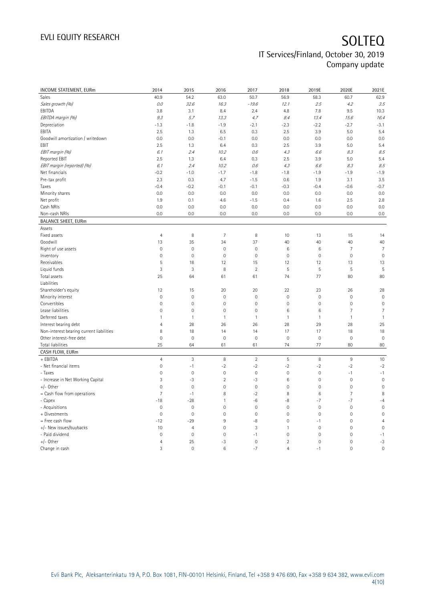| INCOME STATEMENT, EURm                   | 2014                | 2015                      | 2016           | 2017           | 2018            | 2019E               | 2020E          | 2021E          |
|------------------------------------------|---------------------|---------------------------|----------------|----------------|-----------------|---------------------|----------------|----------------|
| Sales                                    | 40.9                | 54.2                      | 63.0           | 50.7           | 56.9            | 58.3                | 60.7           | 62.9           |
| Sales growth (%)                         | $0.0$               | 32.6                      | 16.3           | $-19.6$        | 12.1            | 2.5                 | 4.2            | 3.5            |
| EBITDA                                   | 3.8                 | 3.1                       | 8.4            | 2.4            | 4.8             | 7.8                 | 9.5            | 10.3           |
| EBITDA margin (%)                        | 9.3                 | 5.7                       | 13.3           | 4.7            | 8.4             | 13.4                | 15.6           | 16.4           |
| Depreciation                             | $-1.3$              | $-1.8$                    | $-1.9$         | $-2.1$         | -2.3            | $-2.2$              | $-2.7$         | $-3.1$         |
| EBITA                                    | 2.5                 | 1.3                       | 6.5            | 0.3            | 2.5             | 3.9                 | 5.0            | 5.4            |
| Goodwill amortization / writedown        | 0.0                 | 0.0                       | $-0.1$         | 0.0            | 0.0             | 0.0                 | 0.0            | 0.0            |
| EBIT                                     | 2.5                 | 1.3                       | 6.4            | 0.3            | 2.5             | 3.9                 | 5.0            | 5.4            |
| EBIT margin (%)                          | 6.1                 | 2.4                       | 10.2           | 0.6            | 4.3             | 6.6                 | 8.3            | 8.5            |
| Reported EBIT                            | 2.5                 | 1.3                       | 6.4            | 0.3            | 2.5             | 3.9                 | 5.0            | 5.4            |
|                                          | 6.1                 | 2.4                       | 10.2           | 0.6            | 4.3             |                     | 8.3            | 8.5            |
| EBIT margin (reported) (%)               |                     |                           |                |                |                 | 6.6                 |                |                |
| Net financials                           | $-0.2$              | $-1.0$                    | $-1.7$         | $-1.8$         | $-1.8$          | $-1.9$              | $-1.9$         | $-1.9$         |
| Pre-tax profit                           | 2.3                 | 0.3                       | 4.7            | $-1.5$         | 0.6             | 1.9                 | 3.1            | 3.5            |
| Taxes                                    | $-0.4$              | $-0.2$                    | $-0.1$         | $-0.1$         | $-0.3$          | $-0.4$              | $-0.6$         | $-0.7$         |
| Minority shares                          | 0.0                 | 0.0                       | 0.0            | 0.0            | 0.0             | 0.0                 | 0.0            | 0.0            |
| Net profit                               | 1.9                 | 0.1                       | 4.6            | $-1.5$         | 0.4             | 1.6                 | 2.5            | 2.8            |
| Cash NRIs                                | 0.0                 | 0.0                       | 0.0            | 0.0            | 0.0             | 0.0                 | 0.0            | 0.0            |
| Non-cash NRIs                            | 0.0                 | 0.0                       | 0.0            | 0.0            | 0.0             | 0.0                 | 0.0            | 0.0            |
| <b>BALANCE SHEET, EURm</b>               |                     |                           |                |                |                 |                     |                |                |
| Assets                                   |                     |                           |                |                |                 |                     |                |                |
| Fixed assets                             | $\overline{4}$      | 8                         | $\overline{7}$ | 8              | 10              | 13                  | 15             | 14             |
| Goodwill                                 | 13                  | 35                        | 34             | 37             | 40              | 40                  | 40             | 40             |
| Right of use assets                      | $\mathbf 0$         | $\mathbf 0$               | $\mathbb O$    | $\circ$        | 6               | $\,6$               | $\overline{7}$ | $\overline{7}$ |
| Inventory                                | $\mathbf 0$         | $\mathbf 0$               | $\mathbf 0$    | $\circ$        | $\mathbf 0$     | $\mathsf{O}\xspace$ | $\mathbf 0$    | $\mathbf 0$    |
| Receivables                              | 5                   | 18                        | 12             | 15             | 12              | 12                  | 13             | 13             |
| Liquid funds                             | 3                   | 3                         | 8              | $\overline{2}$ | 5               | 5                   | 5              | 5              |
| Total assets                             | 25                  | 64                        | 61             | 61             | 74              | 77                  | 80             | 80             |
| Liabilities                              |                     |                           |                |                |                 |                     |                |                |
| Shareholder's equity                     | 12                  | 15                        | 20             | 20             | 22              | 23                  | 26             | 28             |
| Minority interest                        | $\mathbf 0$         | $\mathbf 0$               | $\mathbf 0$    | $\mathbf 0$    | $\mathbf 0$     | $\mathsf{O}\xspace$ | $\mathbf 0$    | $\mathbf 0$    |
| Convertibles                             | $\mathbf 0$         | $\mathbf 0$               | $\mathbf 0$    | $\mathbf 0$    | $\mathbf 0$     | $\mathsf{O}\xspace$ | $\mathbf 0$    | $\mathbf 0$    |
| Lease liabilities                        | $\mathsf{O}\xspace$ | $\mathsf{O}\xspace$       | $\mathbb O$    | $\mathbf{0}$   | 6               | $\,6$               | 7              | 7              |
| Deferred taxes                           | $\mathbf{1}$        | $\mathbf{1}$              | $\mathbf{1}$   | 1              | $\mathbf{1}$    | $\mathbf{1}$        | $\mathbf{1}$   | $\mathbf{1}$   |
| Interest bearing debt                    | $\overline{4}$      | 28                        | 26             | 26             | 28              | 29                  | 28             | 25             |
| Non-interest bearing current liabilities | 8                   | 18                        | 14             | 14             | 17              | 17                  | 18             | 18             |
| Other interest-free debt                 | $\mathbf 0$         | $\mathbf 0$               | $\mathbf 0$    | $\mathbf 0$    | $\mathbf 0$     | $\mathsf{O}\xspace$ | $\mathbf 0$    | $\mathbf 0$    |
| Total liabilities                        | 25                  | 64                        | 61             | 61             | 74              | 77                  | 80             | 80             |
| CASH FLOW, EURm                          |                     |                           |                |                |                 |                     |                |                |
| + EBITDA                                 | $\overline{4}$      | $\ensuremath{\mathsf{3}}$ | $\, 8$         | $\overline{2}$ | $\mathsf S$     | $\, 8$              | $9\,$          | 10             |
| - Net financial items                    | $\mathbf 0$         | $-1$                      | $-2$           | $-2$           | $-2$            | $-2$                | $-2$           | $-2$           |
| - Taxes                                  | $\mathbf 0$         | $\mathbf 0$               | $\mathbf 0$    | $\mathbf 0$    | $\mathbf 0$     | $\mathsf{O}\xspace$ | $-1$           | $-1$           |
| - Increase in Net Working Capital        | 3                   | $-3$                      | $\overline{2}$ | $-3$           | $6\phantom{1}6$ | $\mathsf{O}\xspace$ | $\mathbf 0$    | $\mathbf 0$    |
| $+/-$ Other                              | $\mathbf 0$         | $\mathbf 0$               | $\mathbf 0$    | $\mathbf 0$    | $\mathbf 0$     | $\mathsf{O}\xspace$ | $\mathbf 0$    | $\mathbf 0$    |
| = Cash flow from operations              | $\overline{7}$      | $-1$                      | 8              | $-2$           | 8               | $\,6$               | $\overline{7}$ | 8              |
| - Capex                                  | $-18$               | $-28$                     | $\mathbf{1}$   | $-6$           | $-8$            | $-7$                | $-7$           | $-4$           |
| - Acquisitions                           | $\mathbf 0$         | $\mathbf 0$               | $\mathbf 0$    | $\circ$        | $\mathbf 0$     | $\mathsf{O}\xspace$ | $\mathbf{0}$   | $\mathbf 0$    |
| + Divestments                            | $\mathbf 0$         | $\mathbf 0$               | $\mathbf 0$    | $\mathbf 0$    | $\mathbf 0$     | $\mathsf{O}\xspace$ | $\mathbf 0$    | $\mathbf 0$    |
| = Free cash flow                         | $-12$               | $-29$                     | 9              | $-8$           | $\mathbf 0$     | $-1$                | $\mathbf 0$    | $\overline{4}$ |
| +/- New issues/buybacks                  | 10                  | $\overline{4}$            | $\mathbf 0$    | $\mathfrak{Z}$ | $\mathbf{1}$    | $\mathsf{O}\xspace$ | $\mathbf 0$    | $\mathbf 0$    |
| - Paid dividend                          | $\mathbf 0$         | $\mathbf 0$               | $\mathbf 0$    | $-1$           | $\mathbf 0$     | $\mathsf{O}\xspace$ | 0              | $-1$           |
| +/- Other                                | $\overline{4}$      | 25                        | $-3$           | $\circ$        | $\overline{2}$  | $\mathsf{O}\xspace$ | $\mathbf 0$    | $-3$           |
| Change in cash                           | 3                   | $\mathbf 0$               | 6              | $-7$           | $\overline{4}$  | $-1$                | $\mathbf 0$    | $\mathbf 0$    |
|                                          |                     |                           |                |                |                 |                     |                |                |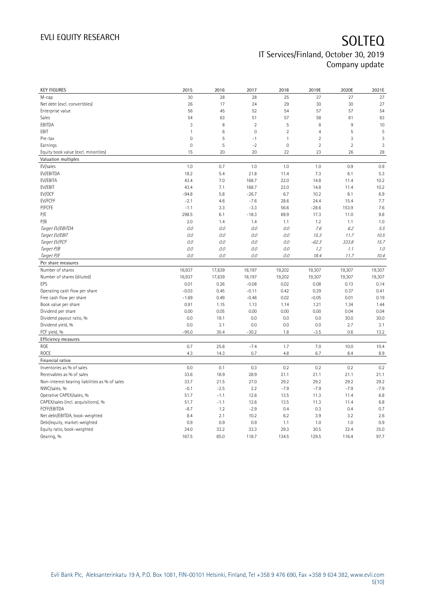| <b>KEY FIGURES</b>                             | 2015          | 2016         | 2017           | 2018           | 2019E          | 2020E          | 2021E        |
|------------------------------------------------|---------------|--------------|----------------|----------------|----------------|----------------|--------------|
| M-cap                                          | 30            | 28           | 28             | 25             | 27             | 27             | 27           |
| Net debt (excl. convertibles)                  | 26            | 17           | 24             | 29             | 30             | 30             | 27           |
| Enterprise value                               | 56            | 45           | 52             | 54             | 57             | 57             | 54           |
| Sales                                          | 54            | 63           | 51             | 57             | 58             | 61             | 63           |
| EBITDA                                         | 3             | 8            | $\overline{2}$ | 5              | 8              | $9\,$          | 10           |
| EBIT                                           | $\mathbf{1}$  | $\,6$        | $\mathbf 0$    | $\overline{2}$ | $\overline{4}$ | 5              | 5            |
| Pre-tax                                        | $\mathbf 0$   | 5            | $-1$           | $\mathbf{1}$   | $\overline{2}$ | 3              | 3            |
| Earnings                                       | $\mathbf 0$   | 5            | $-2$           | $\mathbf 0$    | $\overline{2}$ | $\overline{2}$ | 3            |
| Equity book value (excl. minorities)           | 15            | 20           | 20             | 22             | 23             | 26             | 28           |
| Valuation multiples                            |               |              |                |                |                |                |              |
| EV/sales                                       | 1.0           | 0.7          | 1.0            | 1.0            | 1.0            | 0.9            | 0.9          |
| EV/EBITDA                                      | 18.2          | 5.4          | 21.8           | 11.4           | 7.3            | 6.1            | 5.3          |
| EV/EBITA                                       | 43.4          | 7.0          | 168.7          | 22.0           | 14.8           | 11.4           | 10.2         |
| EV/EBIT                                        | 43.4          | 7.1          | 168.7          | 22.0           | 14.8           | 11.4           | 10.2         |
| EV/OCF                                         | $-94.8$       | 5.8          | $-26.7$        | 6.7            | 10.2           | 8.1            | 6.9          |
| EV/FCFF                                        | $-2.1$        | 4.6          | $-7.6$         | 28.6           | 24.4           | 15.4           | 7.7          |
| P/FCFE                                         | $-1.1$        | 3.3          | $-3.3$         | 56.6           | $-28.6$        | 153.9          | 7.6          |
| P/E                                            | 298.5         | 6.1          | $-18.3$        | 69.9           | 17.3           | 11.0           | 9.8          |
| P/B                                            | 2.0           | 1.4          | 1.4            | 1.1            | 1.2            | 1.1            | 1.0          |
| Target EV/EBITDA                               | 0.0           | 0.0          | 0.0            | 0.0            | 7.6            | 6.2            | 5.5          |
| Target EV/EBIT                                 | 0.0           | 0.0          | 0.0            | 0.0            | 15.3           | 11.7           | 10.5         |
| Target EV/FCF                                  | 0.0           | 0.0          | 0.0            | 0.0            | $-62.3$        | 333.8          | 15.7         |
| Target P/B                                     | 0.0           | 0.0          | 0.0            | 0.0            | 1.2            | 1.1            | 1.0          |
| Target P/E                                     | $O.O$         | 0.0          | 0.0            | 0.0            | 18.4           | 11.7           | 10.4         |
| Per share measures                             |               |              |                |                |                |                |              |
|                                                |               |              |                |                |                |                |              |
|                                                |               |              |                |                |                |                |              |
| Number of shares                               | 16,937        | 17,639       | 18,197         | 19,202         | 19,307         | 19,307         | 19,307       |
| Number of shares (diluted)                     | 16,937        | 17,639       | 18,197         | 19,202         | 19,307         | 19,307         | 19,307       |
| EPS                                            | 0.01          | 0.26         | $-0.08$        | 0.02           | 0.08           | 0.13           | 0.14         |
| Operating cash flow per share                  | $-0.03$       | 0.45         | $-0.11$        | 0.42           | 0.29           | 0.37           | 0.41         |
| Free cash flow per share                       | $-1.69$       | 0.49         | $-0.46$        | 0.02           | $-0.05$        | 0.01           | 0.19         |
| Book value per share                           | 0.91          | 1.15         | 1.13           | 1.14           | 1.21           | 1.34           | 1.44         |
| Dividend per share                             | 0.00          | 0.05         | 0.00           | 0.00           | 0.00           | 0.04           | 0.04         |
| Dividend payout ratio, %                       | 0.0           | 19.1         | 0.0            | 0.0            | 0.0            | 30.0           | 30.0         |
| Dividend yield, %                              | 0.0           | 3.1          | 0.0            | 0.0            | 0.0            | 2.7            | 3.1          |
| FCF yield, %                                   | $-95.0$       | 30.4         | $-30.2$        | 1.8            | $-3.5$         | 0.6            | 13.2         |
| Efficiency measures                            |               |              |                |                |                |                |              |
| ROE                                            | 0.7           | 25.8         | $-7.4$         | 1.7            | 7.0            | 10.0           | 10.4         |
| <b>ROCE</b>                                    | 4.3           | 14.3         | 0.7            | 4.8            | 6.7            | 8.4            | 8.9          |
| Financial ratios                               |               |              |                |                |                |                |              |
| Inventories as % of sales                      | 0.0           | 0.1          | 0.3            | 0.2            | 0.2            | 0.2            | 0.2          |
| Receivables as % of sales                      | 33.6          | 18.9         | 28.9           | 21.1           | 21.1           | 21.1           | 21.1         |
| Non-interest bearing liabilities as % of sales | 33.7          | 21.5         | 27.0           | 29.2           | 29.2           | 29.2           | 29.2         |
| NWC/sales, %                                   | $-0.1$        | $-2.5$       | 2.2            | $-7.9$         | $-7.9$         | $-7.9$         | $-7.9$       |
| Operative CAPEX/sales, %                       | 51.7          | $-1.1$       | 12.6           | 13.5           | 11.3           | 11.4           | 6.8          |
| CAPEX/sales (incl. acquisitions), %            | 51.7          | $-1.1$       | 12.6           | 13.5           | 11.3           | 11.4           | 6.8          |
| FCFF/EBITDA                                    | $-8.7$        | 1.2          | $-2.9$         | 0.4            | 0.3            | 0.4            | 0.7          |
| Net debt/EBITDA, book-weighted                 | 8.4           | 2.1          | 10.2           | 6.2            | 3.9            | 3.2            | 2.6          |
| Debt/equity, market-weighted                   | 0.9           | 0.9          | 0.9            | 1.1            | 1.0            | 1.0            | 0.9          |
| Equity ratio, book-weighted<br>Gearing, %      | 24.0<br>167.5 | 33.2<br>85.0 | 33.3<br>118.7  | 29.3<br>134.5  | 30.5<br>129.5  | 32.4<br>116.4  | 35.0<br>97.7 |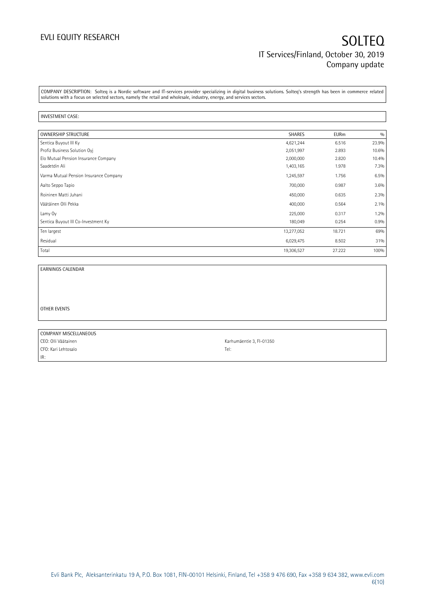COMPANY DESCRIPTION: Solteq is a Nordic software and IT-services provider specializing in digital business solutions. Solteq's strength has been in commerce related solutions with a focus on selected sectors, namely the retail and wholesale, industry, energy, and services sectors.

### INVESTMENT CASE:

| <b>OWNERSHIP STRUCTURE</b>             | <b>SHARES</b> | <b>EURm</b> | 0/0   |
|----------------------------------------|---------------|-------------|-------|
| Sentica Buyout III Ky                  | 4,621,244     | 6.516       | 23.9% |
| Profiz Business Solution Oyi           | 2,051,997     | 2.893       | 10.6% |
| Elo Mutual Pension Insurance Company   | 2,000,000     | 2.820       | 10.4% |
| Saadetdin Ali                          | 1,403,165     | 1.978       | 7.3%  |
| Varma Mutual Pension Insurance Company | 1,245,597     | 1.756       | 6.5%  |
| Aalto Seppo Tapio                      | 700,000       | 0.987       | 3.6%  |
| Roininen Matti Juhani                  | 450,000       | 0.635       | 2.3%  |
| Väätäinen Olli Pekka                   | 400,000       | 0.564       | 2.1%  |
| Lamy Oy                                | 225,000       | 0.317       | 1.2%  |
| Sentica Buyout III Co-Investment Ky    | 180,049       | 0.254       | 0.9%  |
| Ten largest                            | 13,277,052    | 18.721      | 69%   |
| Residual                               | 6,029,475     | 8.502       | 31%   |
| Total                                  | 19,306,527    | 27.222      | 100%  |

EARNINGS CALENDAR

OTHER EVENTS

| COMPANY MISCELLANEOUS |                          |
|-----------------------|--------------------------|
| CEO: Olli Väätainen   | Karhumäentie 3, FI-01350 |
| CFO: Kari Lehtosalo   | Tel:                     |
| IR:                   |                          |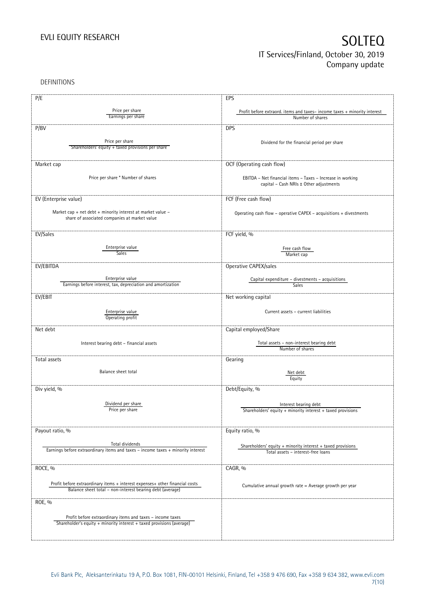DEFINITIONS

| P/E                                                                                                 | EPS                                                                      |
|-----------------------------------------------------------------------------------------------------|--------------------------------------------------------------------------|
|                                                                                                     |                                                                          |
| Price per share                                                                                     | Profit before extraord. items and taxes-income taxes + minority interest |
| Earnings per share                                                                                  | Number of shares                                                         |
| P/BV                                                                                                | <b>DPS</b>                                                               |
|                                                                                                     |                                                                          |
| Price per share<br>Shareholders' equity + taxed provisions per share                                | Dividend for the financial period per share                              |
|                                                                                                     |                                                                          |
|                                                                                                     |                                                                          |
| Market cap                                                                                          | OCF (Operating cash flow)                                                |
| Price per share * Number of shares                                                                  | EBITDA - Net financial items - Taxes - Increase in working               |
|                                                                                                     | capital - Cash NRIs ± Other adjustments                                  |
|                                                                                                     |                                                                          |
| EV (Enterprise value)                                                                               | FCF (Free cash flow)                                                     |
| Market cap + net debt + minority interest at market value -                                         | Operating cash flow - operative CAPEX - acquisitions + divestments       |
| share of associated companies at market value                                                       |                                                                          |
|                                                                                                     |                                                                          |
| EV/Sales                                                                                            | FCF yield, %                                                             |
|                                                                                                     |                                                                          |
| Enterprise value<br><b>Sales</b>                                                                    | Free cash flow                                                           |
|                                                                                                     | Market cap                                                               |
| EV/EBITDA                                                                                           | Operative CAPEX/sales                                                    |
|                                                                                                     |                                                                          |
| Enterprise value<br>Earnings before interest, tax, depreciation and amortization                    | Capital expenditure - divestments - acquisitions<br><b>Sales</b>         |
|                                                                                                     |                                                                          |
| EV/EBIT                                                                                             | Net working capital                                                      |
|                                                                                                     |                                                                          |
| Enterprise value<br>Operating profit                                                                | Current assets - current liabilities                                     |
|                                                                                                     |                                                                          |
| Net debt                                                                                            | Capital employed/Share                                                   |
| Interest bearing debt - financial assets                                                            | Total assets - non-interest bearing debt                                 |
|                                                                                                     | Number of shares                                                         |
| Total assets                                                                                        | Gearing                                                                  |
|                                                                                                     |                                                                          |
| Balance sheet total                                                                                 | Net debt                                                                 |
|                                                                                                     | Equity                                                                   |
| Div yield, %                                                                                        | Debt/Equity, %                                                           |
|                                                                                                     |                                                                          |
| Dividend per share<br>Price per share                                                               | Interest bearing debt                                                    |
|                                                                                                     | Shareholders' equity + minority interest + taxed provisions              |
|                                                                                                     |                                                                          |
| Payout ratio, %                                                                                     | Equity ratio, %                                                          |
|                                                                                                     |                                                                          |
| Total dividends<br>Earnings before extraordinary items and taxes - income taxes + minority interest | Shareholders' equity $+$ minority interest $+$ taxed provisions          |
|                                                                                                     | Total assets - interest-free loans                                       |
| ROCE, %                                                                                             | CAGR, %                                                                  |
|                                                                                                     |                                                                          |
| Profit before extraordinary items + interest expenses+ other financial costs                        |                                                                          |
| Balance sheet total - non-interest bearing debt (average)                                           | Cumulative annual growth rate = Average growth per year                  |
|                                                                                                     |                                                                          |
| ROE, %                                                                                              |                                                                          |
| Profit before extraordinary items and taxes - income taxes                                          |                                                                          |
| Shareholder's equity + minority interest + taxed provisions (average)                               |                                                                          |
|                                                                                                     |                                                                          |
|                                                                                                     |                                                                          |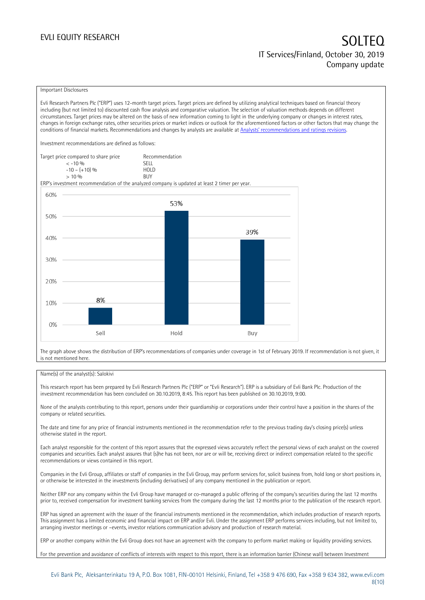### Important Disclosures

Evli Research Partners Plc ("ERP") uses 12-month target prices. Target prices are defined by utilizing analytical techniques based on financial theory including (but not limited to) discounted cash flow analysis and comparative valuation. The selection of valuation methods depends on different circumstances. Target prices may be altered on the basis of new information coming to light in the underlying company or changes in interest rates, changes in foreign exchange rates, other securities prices or market indices or outlook for the aforementioned factors or other factors that may change the conditions of financial markets. Recommendations and changes by analysts are available at [Analysts' recommendations and ratings revisions](https://research.evli.com/JasperAllModels.action?authParam=key;461&authParam=x;G3rNagWrtf7K&authType=3).

Investment recommendations are defined as follows:

| Target price compared to share price | Recommendation |
|--------------------------------------|----------------|
| $<-10.06$                            | SELL.          |
| $-10 - (+10)$ %                      | HOI D          |
| > 10%                                | <b>BUY</b>     |

ERP's investment recommendation of the analyzed company is updated at least 2 timer per year.



The graph above shows the distribution of ERP's recommendations of companies under coverage in 1st of February 2019. If recommendation is not given, it is not mentioned here.

### Name(s) of the analyst(s): Salokivi

This research report has been prepared by Evli Research Partners Plc ("ERP" or "Evli Research"). ERP is a subsidiary of Evli Bank Plc. Production of the investment recommendation has been concluded on 30.10.2019, 8:45. This report has been published on 30.10.2019, 9:00.

None of the analysts contributing to this report, persons under their guardianship or corporations under their control have a position in the shares of the company or related securities.

The date and time for any price of financial instruments mentioned in the recommendation refer to the previous trading day's closing price(s) unless otherwise stated in the report.

Each analyst responsible for the content of this report assures that the expressed views accurately reflect the personal views of each analyst on the covered companies and securities. Each analyst assures that (s)he has not been, nor are or will be, receiving direct or indirect compensation related to the specific recommendations or views contained in this report.

Companies in the Evli Group, affiliates or staff of companies in the Evli Group, may perform services for, solicit business from, hold long or short positions in, or otherwise be interested in the investments (including derivatives) of any company mentioned in the publication or report.

Neither ERP nor any company within the Evli Group have managed or co-managed a public offering of the company's securities during the last 12 months prior to, received compensation for investment banking services from the company during the last 12 months prior to the publication of the research report.

ERP has signed an agreement with the issuer of the financial instruments mentioned in the recommendation, which includes production of research reports. This assignment has a limited economic and financial impact on ERP and/or Evli. Under the assignment ERP performs services including, but not limited to, arranging investor meetings or –events, investor relations communication advisory and production of research material.

ERP or another company within the Evli Group does not have an agreement with the company to perform market making or liquidity providing services.

For the prevention and avoidance of conflicts of interests with respect to this report, there is an information barrier (Chinese wall) between Investment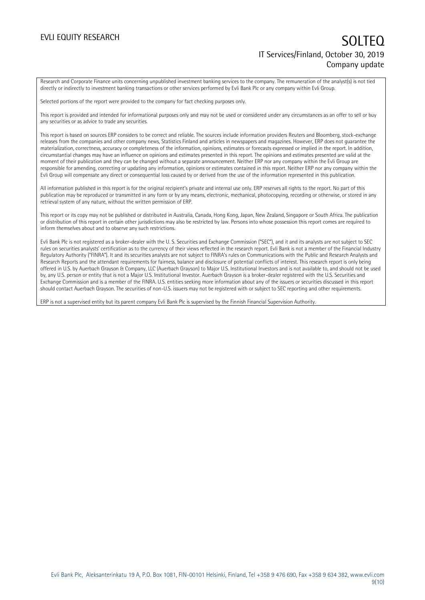Research and Corporate Finance units concerning unpublished investment banking services to the company. The remuneration of the analyst(s) is not tied directly or indirectly to investment banking transactions or other services performed by Evli Bank Plc or any company within Evli Group.

Selected portions of the report were provided to the company for fact checking purposes only.

This report is provided and intended for informational purposes only and may not be used or considered under any circumstances as an offer to sell or buy any securities or as advice to trade any securities.

This report is based on sources ERP considers to be correct and reliable. The sources include information providers Reuters and Bloomberg, stock-exchange releases from the companies and other company news, Statistics Finland and articles in newspapers and magazines. However, ERP does not guarantee the materialization, correctness, accuracy or completeness of the information, opinions, estimates or forecasts expressed or implied in the report. In addition, circumstantial changes may have an influence on opinions and estimates presented in this report. The opinions and estimates presented are valid at the moment of their publication and they can be changed without a separate announcement. Neither ERP nor any company within the Evli Group are responsible for amending, correcting or updating any information, opinions or estimates contained in this report. Neither ERP nor any company within the Evli Group will compensate any direct or consequential loss caused by or derived from the use of the information represented in this publication.

All information published in this report is for the original recipient's private and internal use only. ERP reserves all rights to the report. No part of this publication may be reproduced or transmitted in any form or by any means, electronic, mechanical, photocopying, recording or otherwise, or stored in any retrieval system of any nature, without the written permission of ERP.

This report or its copy may not be published or distributed in Australia, Canada, Hong Kong, Japan, New Zealand, Singapore or South Africa. The publication or distribution of this report in certain other jurisdictions may also be restricted by law. Persons into whose possession this report comes are required to inform themselves about and to observe any such restrictions.

Evli Bank Plc is not registered as a broker-dealer with the U. S. Securities and Exchange Commission ("SEC"), and it and its analysts are not subject to SEC rules on securities analysts' certification as to the currency of their views reflected in the research report. Evli Bank is not a member of the Financial Industry Regulatory Authority ("FINRA"). It and its securities analysts are not subject to FINRA's rules on Communications with the Public and Research Analysts and Research Reports and the attendant requirements for fairness, balance and disclosure of potential conflicts of interest. This research report is only being offered in U.S. by Auerbach Grayson & Company, LLC (Auerbach Grayson) to Major U.S. Institutional Investors and is not available to, and should not be used by, any U.S. person or entity that is not a Major U.S. Institutional Investor. Auerbach Grayson is a broker-dealer registered with the U.S. Securities and Exchange Commission and is a member of the FINRA. U.S. entities seeking more information about any of the issuers or securities discussed in this report should contact Auerbach Grayson. The securities of non-U.S. issuers may not be registered with or subject to SEC reporting and other requirements.

ERP is not a supervised entity but its parent company Evli Bank Plc is supervised by the Finnish Financial Supervision Authority.